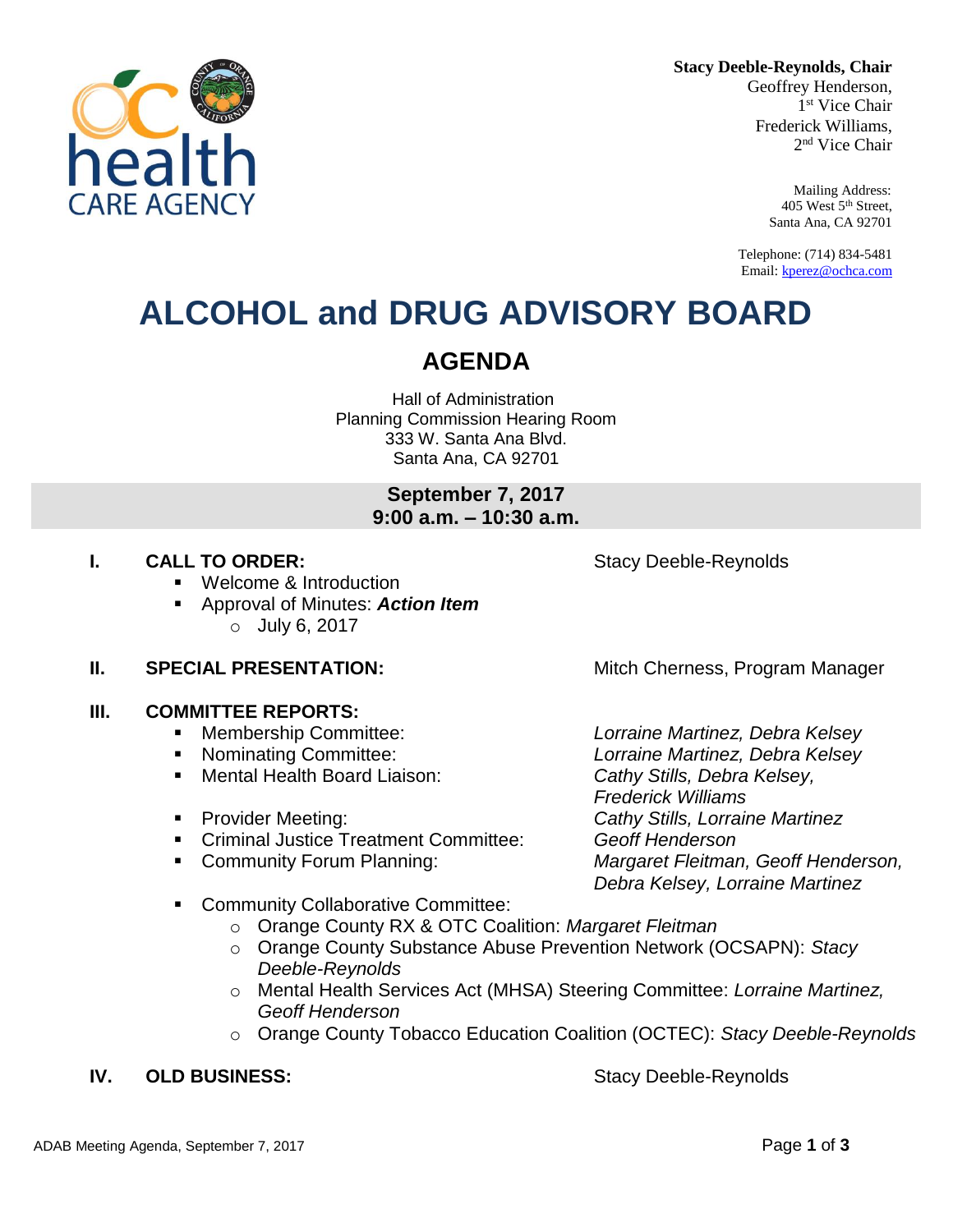**Stacy Deeble-Reynolds, Chair**

Geoffrey Henderson, 1 st Vice Chair Frederick Williams, 2 nd Vice Chair

> Mailing Address: 405 West 5th Street, Santa Ana, CA 92701

Telephone: (714) 834-5481 Email[: kperez@ochca.com](mailto:kperez@ochca.com)

## **ALCOHOL and DRUG ADVISORY BOARD**

## **AGENDA**

Hall of Administration Planning Commission Hearing Room 333 W. Santa Ana Blvd. Santa Ana, CA 92701

> **September 7, 2017 9:00 a.m. – 10:30 a.m.**

## **I. CALL TO ORDER:** Stacy Deeble-Reynolds

- Welcome & Introduction
- Approval of Minutes: *Action Item* o July 6, 2017

## **II. SPECIAL PRESENTATION:** Mitch Cherness, Program Manager

## **III. COMMITTEE REPORTS:**

- Membership Committee: *Lorraine Martinez, Debra Kelsey*
- 
- Mental Health Board Liaison: *Cathy Stills, Debra Kelsey,*
- 
- Criminal Justice Treatment Committee: *Geoff Henderson*
- 

 Nominating Committee: *Lorraine Martinez, Debra Kelsey Frederick Williams* Provider Meeting: *Cathy Stills, Lorraine Martinez* Community Forum Planning: *Margaret Fleitman, Geoff Henderson, Debra Kelsey, Lorraine Martinez*

- **EXECOMMUNITY Collaborative Committee:** 
	- o Orange County RX & OTC Coalition: *Margaret Fleitman*
	- o Orange County Substance Abuse Prevention Network (OCSAPN): *Stacy Deeble-Reynolds*
	- o Mental Health Services Act (MHSA) Steering Committee: *Lorraine Martinez, Geoff Henderson*
	- o Orange County Tobacco Education Coalition (OCTEC): *Stacy Deeble-Reynolds*

## **IV. OLD BUSINESS:** Stacy Deeble-Reynolds

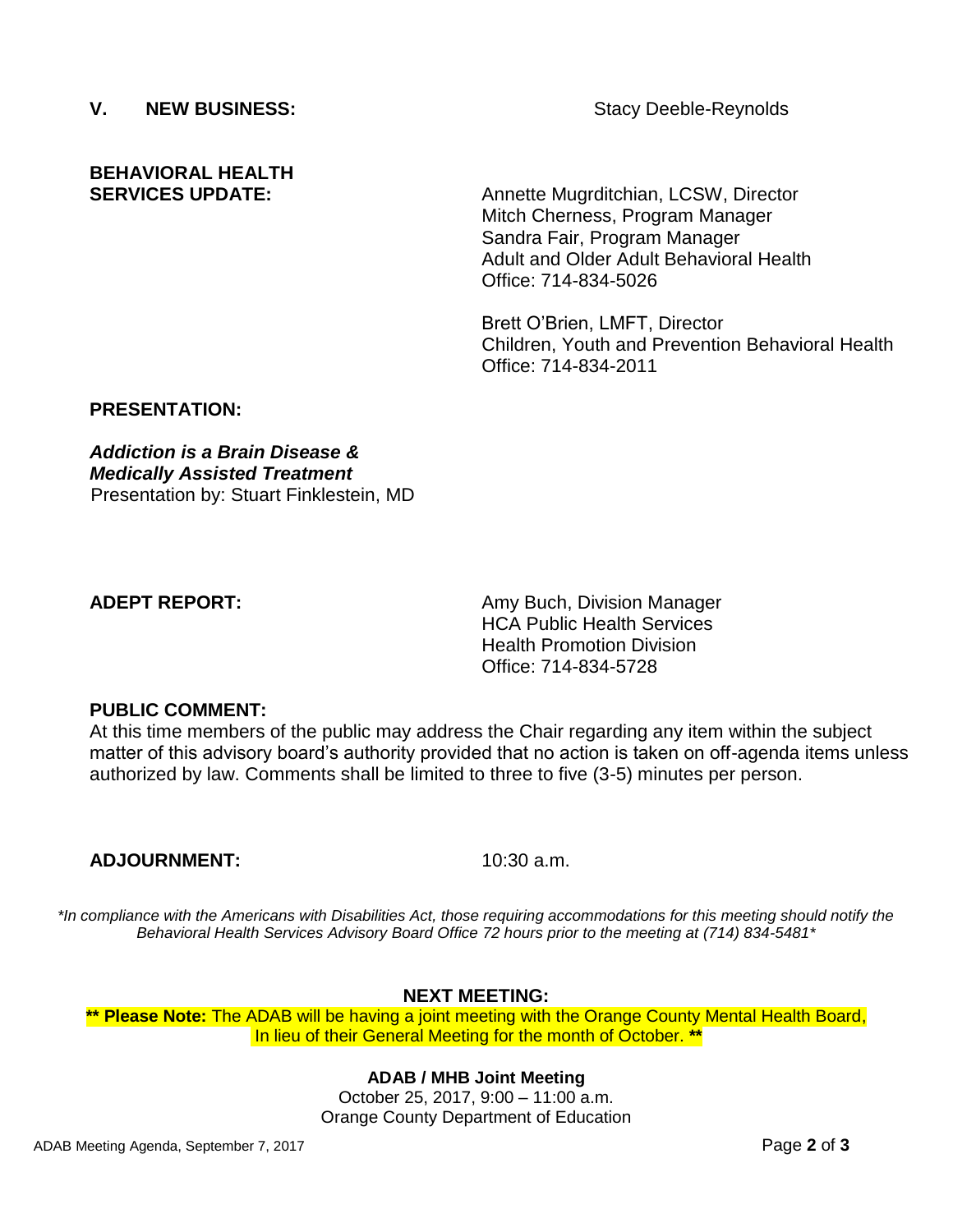## **V. NEW BUSINESS:** Stacy Deeble-Reynolds

# **BEHAVIORAL HEALTH**

**SERVICES UPDATE:** Annette Mugrditchian, LCSW, Director Mitch Cherness, Program Manager Sandra Fair, Program Manager Adult and Older Adult Behavioral Health Office: 714-834-5026

> Brett O'Brien, LMFT, Director Children, Youth and Prevention Behavioral Health Office: 714-834-2011

## **PRESENTATION:**

*Addiction is a Brain Disease & Medically Assisted Treatment* Presentation by: Stuart Finklestein, MD

**ADEPT REPORT:** Amy Buch, Division Manager HCA Public Health Services Health Promotion Division Office: 714-834-5728

## **PUBLIC COMMENT:**

At this time members of the public may address the Chair regarding any item within the subject matter of this advisory board's authority provided that no action is taken on off-agenda items unless authorized by law. Comments shall be limited to three to five (3-5) minutes per person.

## **ADJOURNMENT:** 10:30 a.m.

*\*In compliance with the Americans with Disabilities Act, those requiring accommodations for this meeting should notify the Behavioral Health Services Advisory Board Office 72 hours prior to the meeting at (714) 834-5481\**

## **NEXT MEETING:**

**\*\* Please Note:** The ADAB will be having a joint meeting with the Orange County Mental Health Board, In lieu of their General Meeting for the month of October. **\*\***

## **ADAB / MHB Joint Meeting**

October 25, 2017, 9:00 – 11:00 a.m. Orange County Department of Education